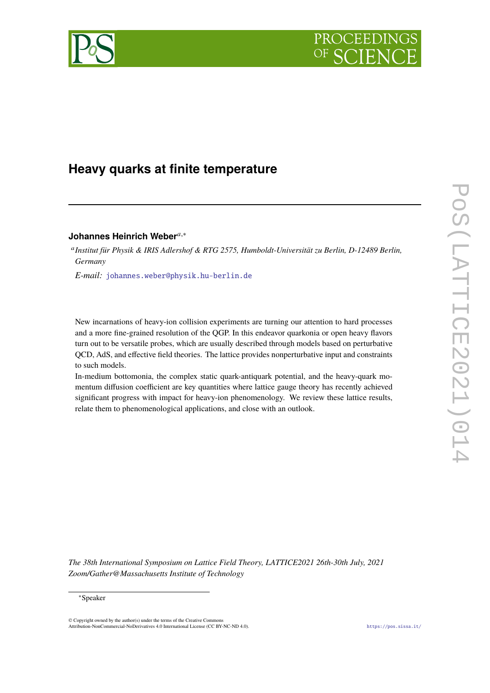



# **Heavy quarks at finite temperature**

# Johannes Heinrich Weber<sup>*a*,∗</sup>

<sup>a</sup> Institut für Physik & IRIS Adlershof & RTG 2575, Humboldt-Universität zu Berlin, D-12489 Berlin, *Germany*

*E-mail:* [johannes.weber@physik.hu-berlin.de](mailto:johannes.weber@physik.hu-berlin.de)

New incarnations of heavy-ion collision experiments are turning our attention to hard processes and a more fine-grained resolution of the QGP. In this endeavor quarkonia or open heavy flavors turn out to be versatile probes, which are usually described through models based on perturbative QCD, AdS, and effective field theories. The lattice provides nonperturbative input and constraints to such models.

In-medium bottomonia, the complex static quark-antiquark potential, and the heavy-quark momentum diffusion coefficient are key quantities where lattice gauge theory has recently achieved significant progress with impact for heavy-ion phenomenology. We review these lattice results, relate them to phenomenological applications, and close with an outlook.

*The 38th International Symposium on Lattice Field Theory, LATTICE2021 26th-30th July, 2021 Zoom/Gather@Massachusetts Institute of Technology*

#### <sup>∗</sup>Speaker

© Copyright owned by the author(s) under the terms of the Creative Commons Attribution-NonCommercial-NoDerivatives 4.0 International License (CC BY-NC-ND 4.0). <https://pos.sissa.it/>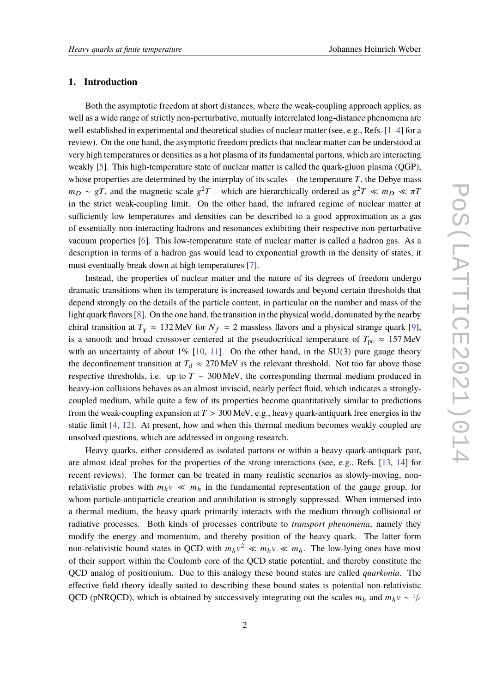#### **1. Introduction**

Both the asymptotic freedom at short distances, where the weak-coupling approach applies, as well as a wide range of strictly non-perturbative, mutually interrelated long-distance phenomena are well-established in experimental and theoretical studies of nuclear matter (see, e.g., Refs. [\[1](#page-18-0)[–4\]](#page-18-1) for a review). On the one hand, the asymptotic freedom predicts that nuclear matter can be understood at very high temperatures or densities as a hot plasma of its fundamental partons, which are interacting weakly [\[5\]](#page-18-2). This high-temperature state of nuclear matter is called the quark-gluon plasma (QGP), whose properties are determined by the interplay of its scales – the temperature  $T$ , the Debye mass  $m_D \sim gT$ , and the magnetic scale  $g^2T$  – which are hierarchically ordered as  $g^2T \ll m_D \ll \pi T$ in the strict weak-coupling limit. On the other hand, the infrared regime of nuclear matter at sufficiently low temperatures and densities can be described to a good approximation as a gas of essentially non-interacting hadrons and resonances exhibiting their respective non-perturbative vacuum properties [\[6\]](#page-18-3). This low-temperature state of nuclear matter is called a hadron gas. As a description in terms of a hadron gas would lead to exponential growth in the density of states, it must eventually break down at high temperatures [\[7\]](#page-18-4).

Instead, the properties of nuclear matter and the nature of its degrees of freedom undergo dramatic transitions when its temperature is increased towards and beyond certain thresholds that depend strongly on the details of the particle content, in particular on the number and mass of the light quark flavors [\[8\]](#page-18-5). On the one hand, the transition in the physical world, dominated by the nearby chiral transition at  $T_x \approx 132 \text{ MeV}$  for  $N_f = 2$  massless flavors and a physical strange quark [\[9\]](#page-18-6), is a smooth and broad crossover centered at the pseudocritical temperature of  $T_{\text{pc}} \approx 157 \text{ MeV}$ with an uncertainty of about  $1\%$  [\[10,](#page-18-7) [11\]](#page-18-8). On the other hand, in the SU(3) pure gauge theory the deconfinement transition at  $T_d \approx 270$  MeV is the relevant threshold. Not too far above those respective thresholds, i.e. up to  $T \sim 300 \,\text{MeV}$ , the corresponding thermal medium produced in heavy-ion collisions behaves as an almost inviscid, nearly perfect fluid, which indicates a stronglycoupled medium, while quite a few of its properties become quantitatively similar to predictions from the weak-coupling expansion at  $T > 300$  MeV, e.g., heavy quark-antiquark free energies in the static limit [\[4,](#page-18-1) [12\]](#page-18-9). At present, how and when this thermal medium becomes weakly coupled are unsolved questions, which are addressed in ongoing research.

Heavy quarks, either considered as isolated partons or within a heavy quark-antiquark pair, are almost ideal probes for the properties of the strong interactions (see, e.g., Refs. [\[13,](#page-18-10) [14\]](#page-18-11) for recent reviews). The former can be treated in many realistic scenarios as slowly-moving, nonrelativistic probes with  $m_h v \ll m_h$  in the fundamental representation of the gauge group, for whom particle-antiparticle creation and annihilation is strongly suppressed. When immersed into a thermal medium, the heavy quark primarily interacts with the medium through collisional or radiative processes. Both kinds of processes contribute to *transport phenomena*, namely they modify the energy and momentum, and thereby position of the heavy quark. The latter form non-relativistic bound states in QCD with  $m_h v^2 \ll m_h v \ll m_h$ . The low-lying ones have most of their support within the Coulomb core of the QCD static potential, and thereby constitute the QCD analog of positronium. Due to this analogy these bound states are called *quarkonia*. The effective field theory ideally suited to describing these bound states is potential non-relativistic QCD (pNRQCD), which is obtained by successively integrating out the scales  $m_h$  and  $m_h v \sim 1/r$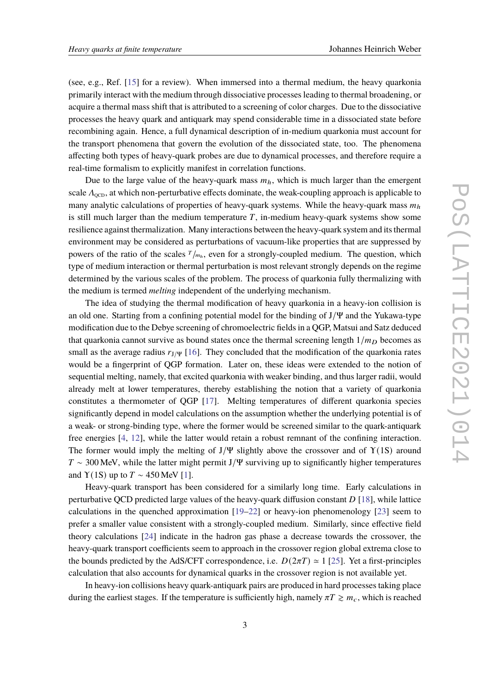(see, e.g., Ref. [\[15\]](#page-18-12) for a review). When immersed into a thermal medium, the heavy quarkonia primarily interact with the medium through dissociative processes leading to thermal broadening, or acquire a thermal mass shift that is attributed to a screening of color charges. Due to the dissociative processes the heavy quark and antiquark may spend considerable time in a dissociated state before recombining again. Hence, a full dynamical description of in-medium quarkonia must account for the transport phenomena that govern the evolution of the dissociated state, too. The phenomena affecting both types of heavy-quark probes are due to dynamical processes, and therefore require a real-time formalism to explicitly manifest in correlation functions.

Due to the large value of the heavy-quark mass  $m<sub>h</sub>$ , which is much larger than the emergent scale  $\Lambda_{\text{QCD}}$ , at which non-perturbative effects dominate, the weak-coupling approach is applicable to many analytic calculations of properties of heavy-quark systems. While the heavy-quark mass  $m<sub>h</sub>$ is still much larger than the medium temperature  $T$ , in-medium heavy-quark systems show some resilience against thermalization. Many interactions between the heavy-quark system and its thermal environment may be considered as perturbations of vacuum-like properties that are suppressed by powers of the ratio of the scales  $T_{/m_h}$ , even for a strongly-coupled medium. The question, which type of medium interaction or thermal perturbation is most relevant strongly depends on the regime determined by the various scales of the problem. The process of quarkonia fully thermalizing with the medium is termed *melting* independent of the underlying mechanism.

The idea of studying the thermal modification of heavy quarkonia in a heavy-ion collision is an old one. Starting from a confining potential model for the binding of  $J/\Psi$  and the Yukawa-type modification due to the Debye screening of chromoelectric fields in a QGP, Matsui and Satz deduced that quarkonia cannot survive as bound states once the thermal screening length  $1/m<sub>D</sub>$  becomes as small as the average radius  $r_{J/\Psi}$  [\[16\]](#page-18-13). They concluded that the modification of the quarkonia rates would be a fingerprint of QGP formation. Later on, these ideas were extended to the notion of sequential melting, namely, that excited quarkonia with weaker binding, and thus larger radii, would already melt at lower temperatures, thereby establishing the notion that a variety of quarkonia constitutes a thermometer of QGP [\[17\]](#page-18-14). Melting temperatures of different quarkonia species significantly depend in model calculations on the assumption whether the underlying potential is of a weak- or strong-binding type, where the former would be screened similar to the quark-antiquark free energies [\[4,](#page-18-1) [12\]](#page-18-9), while the latter would retain a robust remnant of the confining interaction. The former would imply the melting of  $J/\Psi$  slightly above the crossover and of  $\Upsilon(1S)$  around  $T \sim 300$  MeV, while the latter might permit J/Ψ surviving up to significantly higher temperatures and  $\Upsilon(1S)$  up to  $T \sim 450$  MeV [\[1\]](#page-18-0).

Heavy-quark transport has been considered for a similarly long time. Early calculations in perturbative QCD predicted large values of the heavy-quark diffusion constant  $D[18]$  $D[18]$ , while lattice calculations in the quenched approximation [\[19–](#page-18-16)[22\]](#page-19-0) or heavy-ion phenomenology [\[23\]](#page-19-1) seem to prefer a smaller value consistent with a strongly-coupled medium. Similarly, since effective field theory calculations [\[24\]](#page-19-2) indicate in the hadron gas phase a decrease towards the crossover, the heavy-quark transport coefficients seem to approach in the crossover region global extrema close to the bounds predicted by the AdS/CFT correspondence, i.e.  $D(2\pi T) \approx 1$  [\[25\]](#page-19-3). Yet a first-principles calculation that also accounts for dynamical quarks in the crossover region is not available yet.

In heavy-ion collisions heavy quark-antiquark pairs are produced in hard processes taking place during the earliest stages. If the temperature is sufficiently high, namely  $\pi T \gtrsim m_c$ , which is reached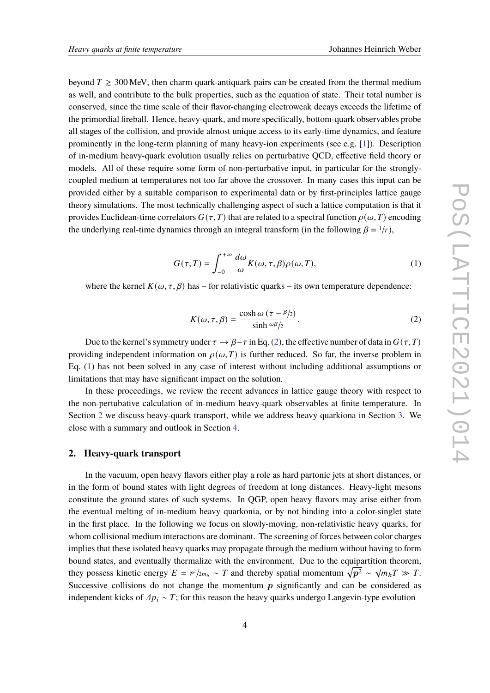beyond  $T \geq 300$  MeV, then charm quark-antiquark pairs can be created from the thermal medium as well, and contribute to the bulk properties, such as the equation of state. Their total number is conserved, since the time scale of their flavor-changing electroweak decays exceeds the lifetime of the primordial fireball. Hence, heavy-quark, and more specifically, bottom-quark observables probe all stages of the collision, and provide almost unique access to its early-time dynamics, and feature prominently in the long-term planning of many heavy-ion experiments (see e.g. [\[1\]](#page-18-0)). Description of in-medium heavy-quark evolution usually relies on perturbative QCD, effective field theory or models. All of these require some form of non-perturbative input, in particular for the stronglycoupled medium at temperatures not too far above the crossover. In many cases this input can be provided either by a suitable comparison to experimental data or by first-principles lattice gauge theory simulations. The most technically challenging aspect of such a lattice computation is that it provides Euclidean-time correlators  $G(\tau, T)$  that are related to a spectral function  $\rho(\omega, T)$  encoding the underlying real-time dynamics through an integral transform (in the following  $\beta = \frac{1}{r}$ ),

$$
G(\tau,T) = \int_{-0}^{+\infty} \frac{d\omega}{\omega} K(\omega,\tau,\beta) \rho(\omega,T), \tag{1}
$$

where the kernel  $K(\omega, \tau, \beta)$  has – for relativistic quarks – its own temperature dependence:

<span id="page-3-1"></span><span id="page-3-0"></span>
$$
K(\omega, \tau, \beta) = \frac{\cosh \omega (\tau - \beta/2)}{\sinh \omega \beta/2}.
$$
 (2)

Due to the kernel's symmetry under  $\tau \to \beta - \tau$  in Eq. [\(2\)](#page-3-0), the effective number of data in  $G(\tau, T)$ providing independent information on  $\rho(\omega, T)$  is further reduced. So far, the inverse problem in Eq. [\(1\)](#page-3-1) has not been solved in any case of interest without including additional assumptions or limitations that may have significant impact on the solution.

In these proceedings, we review the recent advances in lattice gauge theory with respect to the non-pertubative calculation of in-medium heavy-quark observables at finite temperature. In Section [2](#page-3-2) we discuss heavy-quark transport, while we address heavy quarkiona in Section [3.](#page-6-0) We close with a summary and outlook in Section [4.](#page-16-0)

#### <span id="page-3-2"></span>**2. Heavy-quark transport**

In the vacuum, open heavy flavors either play a role as hard partonic jets at short distances, or in the form of bound states with light degrees of freedom at long distances. Heavy-light mesons constitute the ground states of such systems. In QGP, open heavy flavors may arise either from the eventual melting of in-medium heavy quarkonia, or by not binding into a color-singlet state in the first place. In the following we focus on slowly-moving, non-relativistic heavy quarks, for whom collisional medium interactions are dominant. The screening of forces between color charges implies that these isolated heavy quarks may propagate through the medium without having to form bound states, and eventually thermalize with the environment. Due to the equipartition theorem, they possess kinetic energy  $E = p^2/2m_h \sim T$  and thereby spatial momentum  $\sqrt{p^2} \sim$  $\sqrt{m_h T} \gg T$ . Successive collisions do not change the momentum  $p$  significantly and can be considered as independent kicks of  $\Delta p_i \sim T$ ; for this reason the heavy quarks undergo Langevin-type evolution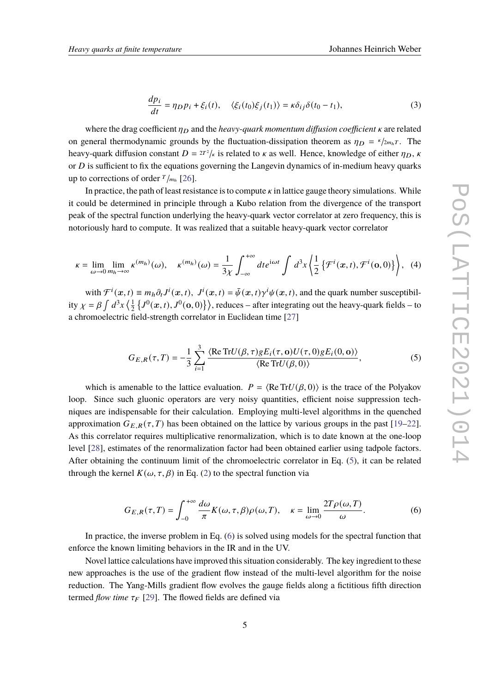$$
\frac{dp_i}{dt} = \eta_D p_i + \xi_i(t), \quad \langle \xi_i(t_0) \xi_j(t_1) \rangle = \kappa \delta_{ij} \delta(t_0 - t_1), \tag{3}
$$

where the drag coefficient  $\eta_D$  and the *heavy-quark momentum diffusion coefficient*  $\kappa$  are related on general thermodynamic grounds by the fluctuation-dissipation theorem as  $\eta_D = \frac{\kappa}{2m_b T}$ . The heavy-quark diffusion constant  $D = 2T^2/\kappa$  is related to  $\kappa$  as well. Hence, knowledge of either  $\eta_D$ ,  $\kappa$ or  $D$  is sufficient to fix the equations governing the Langevin dynamics of in-medium heavy quarks up to corrections of order  $T_{m_h}$  [\[26\]](#page-19-4).

In practice, the path of least resistance is to compute  $\kappa$  in lattice gauge theory simulations. While it could be determined in principle through a Kubo relation from the divergence of the transport peak of the spectral function underlying the heavy-quark vector correlator at zero frequency, this is notoriously hard to compute. It was realized that a suitable heavy-quark vector correlator

$$
\kappa = \lim_{\omega \to 0} \lim_{m_h \to \infty} \kappa^{(m_h)}(\omega), \quad \kappa^{(m_h)}(\omega) = \frac{1}{3\chi} \int_{-\infty}^{+\infty} dt e^{i\omega t} \int d^3x \left\{ \frac{1}{2} \left\{ \mathcal{F}^i(x,t), \mathcal{F}^i(\mathbf{0},0) \right\} \right\}, \tag{4}
$$

with  $\mathcal{F}^i(x,t) \equiv m_h \partial_t J^i(x,t)$ ,  $J^i(x,t) = \bar{\psi}(x,t) \gamma^i \psi(x,t)$ , and the quark number susceptibility  $\chi = \beta \int d^3x \left( \frac{1}{2} \right)$  $\frac{1}{2}$   $\{J^0(\bm{x}, t), J^0(\bm{o}, 0)\}\rangle$ , reduces – after integrating out the heavy-quark fields – to a chromoelectric field-strength correlator in Euclidean time [\[27\]](#page-19-5)

<span id="page-4-0"></span>
$$
G_{E,R}(\tau,T) = -\frac{1}{3} \sum_{i=1}^{3} \frac{\langle \text{Re Tr} U(\beta,\tau) g E_i(\tau,\mathbf{o}) U(\tau,0) g E_i(0,\mathbf{o}) \rangle}{\langle \text{Re Tr} U(\beta,0) \rangle},\tag{5}
$$

which is amenable to the lattice evaluation.  $P = \langle \text{Re Tr} U(\beta, 0) \rangle$  is the trace of the Polyakov loop. Since such gluonic operators are very noisy quantities, efficient noise suppression techniques are indispensable for their calculation. Employing multi-level algorithms in the quenched approximation  $G_{E,R}(\tau,T)$  has been obtained on the lattice by various groups in the past [\[19–](#page-18-16)[22\]](#page-19-0). As this correlator requires multiplicative renormalization, which is to date known at the one-loop level [\[28\]](#page-19-6), estimates of the renormalization factor had been obtained earlier using tadpole factors. After obtaining the continuum limit of the chromoelectric correlator in Eq. [\(5\)](#page-4-0), it can be related through the kernel  $K(\omega, \tau, \beta)$  in Eq. [\(2\)](#page-3-0) to the spectral function via

<span id="page-4-1"></span>
$$
G_{E,R}(\tau,T) = \int_{-0}^{+\infty} \frac{d\omega}{\pi} K(\omega,\tau,\beta) \rho(\omega,T), \quad \kappa = \lim_{\omega \to 0} \frac{2T\rho(\omega,T)}{\omega}.
$$
 (6)

In practice, the inverse problem in Eq. [\(6\)](#page-4-1) is solved using models for the spectral function that enforce the known limiting behaviors in the IR and in the UV.

Novel lattice calculations have improved this situation considerably. The key ingredient to these new approaches is the use of the gradient flow instead of the multi-level algorithm for the noise reduction. The Yang-Mills gradient flow evolves the gauge fields along a fictitious fifth direction termed *flow time*  $\tau_F$  [\[29\]](#page-19-7). The flowed fields are defined via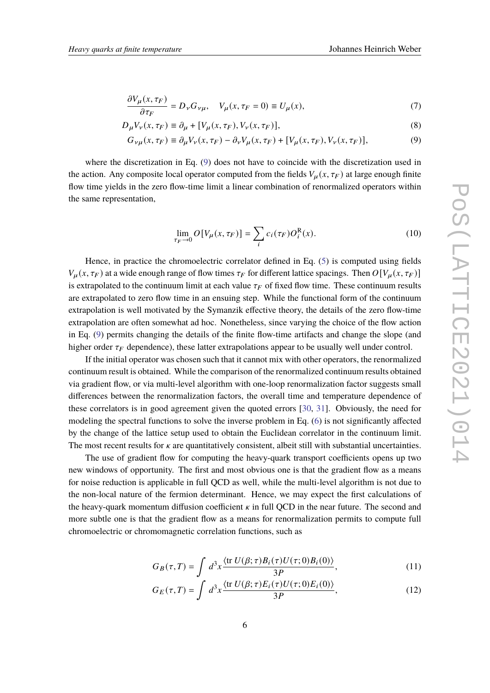$$
\frac{\partial V_{\mu}(x,\tau_F)}{\partial \tau_F} = D_{\nu} G_{\nu\mu}, \quad V_{\mu}(x,\tau_F = 0) \equiv U_{\mu}(x), \tag{7}
$$

$$
D_{\mu}V_{\nu}(x,\tau_F) \equiv \partial_{\mu} + [V_{\mu}(x,\tau_F), V_{\nu}(x,\tau_F)],\tag{8}
$$

$$
G_{\nu\mu}(x,\tau_F) \equiv \partial_{\mu} V_{\nu}(x,\tau_F) - \partial_{\nu} V_{\mu}(x,\tau_F) + [V_{\mu}(x,\tau_F), V_{\nu}(x,\tau_F)],\tag{9}
$$

where the discretization in Eq. [\(9\)](#page-5-0) does not have to coincide with the discretization used in the action. Any composite local operator computed from the fields  $V_{\mu}(x, \tau_F)$  at large enough finite flow time yields in the zero flow-time limit a linear combination of renormalized operators within the same representation,

<span id="page-5-0"></span>
$$
\lim_{\tau_F \to 0} O[V_\mu(x, \tau_F)] = \sum_i c_i(\tau_F) O_i^R(x). \tag{10}
$$

Hence, in practice the chromoelectric correlator defined in Eq. [\(5\)](#page-4-0) is computed using fields  $V_\mu(x, \tau_F)$  at a wide enough range of flow times  $\tau_F$  for different lattice spacings. Then  $O[V_\mu(x, \tau_F)]$ is extrapolated to the continuum limit at each value  $\tau_F$  of fixed flow time. These continuum results are extrapolated to zero flow time in an ensuing step. While the functional form of the continuum extrapolation is well motivated by the Symanzik effective theory, the details of the zero flow-time extrapolation are often somewhat ad hoc. Nonetheless, since varying the choice of the flow action in Eq. [\(9\)](#page-5-0) permits changing the details of the finite flow-time artifacts and change the slope (and higher order  $\tau_F$  dependence), these latter extrapolations appear to be usually well under control.

If the initial operator was chosen such that it cannot mix with other operators, the renormalized continuum result is obtained. While the comparison of the renormalized continuum results obtained via gradient flow, or via multi-level algorithm with one-loop renormalization factor suggests small differences between the renormalization factors, the overall time and temperature dependence of these correlators is in good agreement given the quoted errors [\[30,](#page-19-8) [31\]](#page-19-9). Obviously, the need for modeling the spectral functions to solve the inverse problem in Eq. [\(6\)](#page-4-1) is not significantly affected by the change of the lattice setup used to obtain the Euclidean correlator in the continuum limit. The most recent results for  $\kappa$  are quantitatively consistent, albeit still with substantial uncertainties.

The use of gradient flow for computing the heavy-quark transport coefficients opens up two new windows of opportunity. The first and most obvious one is that the gradient flow as a means for noise reduction is applicable in full QCD as well, while the multi-level algorithm is not due to the non-local nature of the fermion determinant. Hence, we may expect the first calculations of the heavy-quark momentum diffusion coefficient  $\kappa$  in full QCD in the near future. The second and more subtle one is that the gradient flow as a means for renormalization permits to compute full chromoelectric or chromomagnetic correlation functions, such as

<span id="page-5-1"></span>
$$
G_B(\tau, T) = \int d^3x \frac{\langle \text{tr } U(\beta; \tau) B_i(\tau) U(\tau; 0) B_i(0) \rangle}{3P}, \tag{11}
$$

<span id="page-5-2"></span>
$$
G_E(\tau, T) = \int d^3x \frac{\langle \text{tr } U(\beta; \tau) E_i(\tau) U(\tau; 0) E_i(0) \rangle}{3P}, \qquad (12)
$$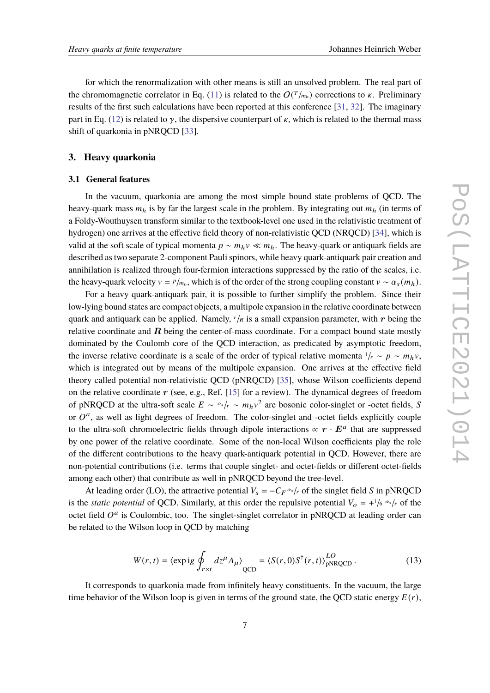for which the renormalization with other means is still an unsolved problem. The real part of the chromomagnetic correlator in Eq. [\(11\)](#page-5-1) is related to the  $O(T/m<sub>h</sub>)$  corrections to  $\kappa$ . Preliminary results of the first such calculations have been reported at this conference [\[31,](#page-19-9) [32\]](#page-19-10). The imaginary part in Eq. [\(12\)](#page-5-2) is related to  $\gamma$ , the dispersive counterpart of  $\kappa$ , which is related to the thermal mass shift of quarkonia in pNRQCD [\[33\]](#page-19-11).

# <span id="page-6-0"></span>**3. Heavy quarkonia**

#### <span id="page-6-1"></span>**3.1 General features**

In the vacuum, quarkonia are among the most simple bound state problems of QCD. The heavy-quark mass  $m_h$  is by far the largest scale in the problem. By integrating out  $m_h$  (in terms of a Foldy-Wouthuysen transform similar to the textbook-level one used in the relativistic treatment of hydrogen) one arrives at the effective field theory of non-relativistic QCD (NRQCD) [\[34\]](#page-19-12), which is valid at the soft scale of typical momenta  $p \sim m_h v \ll m_h$ . The heavy-quark or antiquark fields are described as two separate 2-component Pauli spinors, while heavy quark-antiquark pair creation and annihilation is realized through four-fermion interactions suppressed by the ratio of the scales, i.e. the heavy-quark velocity  $v = P/m<sub>h</sub>$ , which is of the order of the strong coupling constant  $v \sim \alpha_s(m_h)$ .

For a heavy quark-antiquark pair, it is possible to further simplify the problem. Since their low-lying bound states are compact objects, a multipole expansion in the relative coordinate between quark and antiquark can be applied. Namely,  $r/R$  is a small expansion parameter, with r being the relative coordinate and  $R$  being the center-of-mass coordinate. For a compact bound state mostly dominated by the Coulomb core of the QCD interaction, as predicated by asymptotic freedom, the inverse relative coordinate is a scale of the order of typical relative momenta  $1/r \sim p \sim m_h v$ , which is integrated out by means of the multipole expansion. One arrives at the effective field theory called potential non-relativistic QCD (pNRQCD) [\[35\]](#page-19-13), whose Wilson coefficients depend on the relative coordinate  $r$  (see, e.g., Ref. [\[15\]](#page-18-12) for a review). The dynamical degrees of freedom of pNRQCD at the ultra-soft scale  $E \sim \alpha_s / r \sim m_h v^2$  are bosonic color-singlet or -octet fields, S or  $O^a$ , as well as light degrees of freedom. The color-singlet and -octet fields explicitly couple to the ultra-soft chromoelectric fields through dipole interactions  $\propto r \cdot E^a$  that are suppressed by one power of the relative coordinate. Some of the non-local Wilson coefficients play the role of the different contributions to the heavy quark-antiquark potential in QCD. However, there are non-potential contributions (i.e. terms that couple singlet- and octet-fields or different octet-fields among each other) that contribute as well in pNRQCD beyond the tree-level.

At leading order (LO), the attractive potential  $V_s = -C_F \alpha_s / r$  of the singlet field S in pNRQCD is the *static potential* of QCD. Similarly, at this order the repulsive potential  $V_o = +\frac{1}{6} \alpha_s / r$  of the octet field  $O^a$  is Coulombic, too. The singlet-singlet correlator in pNRQCD at leading order can be related to the Wilson loop in QCD by matching

$$
W(r,t) = \langle \exp ig \oint_{r \times t} dz^{\mu} A_{\mu} \rangle_{QCD} = \langle S(r,0) S^{\dagger}(r,t) \rangle_{pNRQCD}^{LO}.
$$
 (13)

It corresponds to quarkonia made from infinitely heavy constituents. In the vacuum, the large time behavior of the Wilson loop is given in terms of the ground state, the QCD static energy  $E(r)$ ,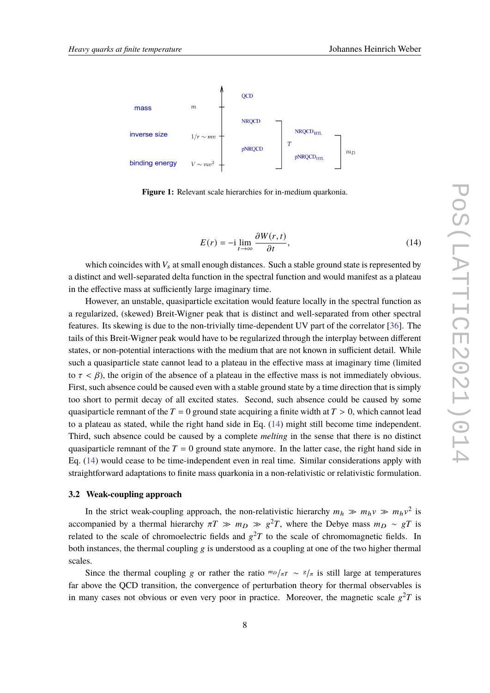

**Figure 1:** Relevant scale hierarchies for in-medium quarkonia.

<span id="page-7-0"></span>
$$
E(r) = -i \lim_{t \to \infty} \frac{\partial W(r, t)}{\partial t},
$$
\n(14)

which coincides with  $V_s$  at small enough distances. Such a stable ground state is represented by a distinct and well-separated delta function in the spectral function and would manifest as a plateau in the effective mass at sufficiently large imaginary time.

However, an unstable, quasiparticle excitation would feature locally in the spectral function as a regularized, (skewed) Breit-Wigner peak that is distinct and well-separated from other spectral features. Its skewing is due to the non-trivially time-dependent UV part of the correlator [\[36\]](#page-19-14). The tails of this Breit-Wigner peak would have to be regularized through the interplay between different states, or non-potential interactions with the medium that are not known in sufficient detail. While such a quasiparticle state cannot lead to a plateau in the effective mass at imaginary time (limited to  $\tau < \beta$ ), the origin of the absence of a plateau in the effective mass is not immediately obvious. First, such absence could be caused even with a stable ground state by a time direction that is simply too short to permit decay of all excited states. Second, such absence could be caused by some quasiparticle remnant of the  $T = 0$  ground state acquiring a finite width at  $T > 0$ , which cannot lead to a plateau as stated, while the right hand side in Eq. [\(14\)](#page-7-0) might still become time independent. Third, such absence could be caused by a complete *melting* in the sense that there is no distinct quasiparticle remnant of the  $T = 0$  ground state anymore. In the latter case, the right hand side in Eq. [\(14\)](#page-7-0) would cease to be time-independent even in real time. Similar considerations apply with straightforward adaptations to finite mass quarkonia in a non-relativistic or relativistic formulation.

#### **3.2 Weak-coupling approach**

In the strict weak-coupling approach, the non-relativistic hierarchy  $m_h \gg m_h v \gg m_h v^2$  is accompanied by a thermal hierarchy  $\pi T \gg m_D \gg g^2 T$ , where the Debye mass  $m_D \sim gT$  is related to the scale of chromoelectric fields and  $g^2T$  to the scale of chromomagnetic fields. In both instances, the thermal coupling  $g$  is understood as a coupling at one of the two higher thermal scales.

Since the thermal coupling *g* or rather the ratio  $m_D/\pi r \sim s/\pi$  is still large at temperatures far above the QCD transition, the convergence of perturbation theory for thermal observables is in many cases not obvious or even very poor in practice. Moreover, the magnetic scale  $g^2T$  is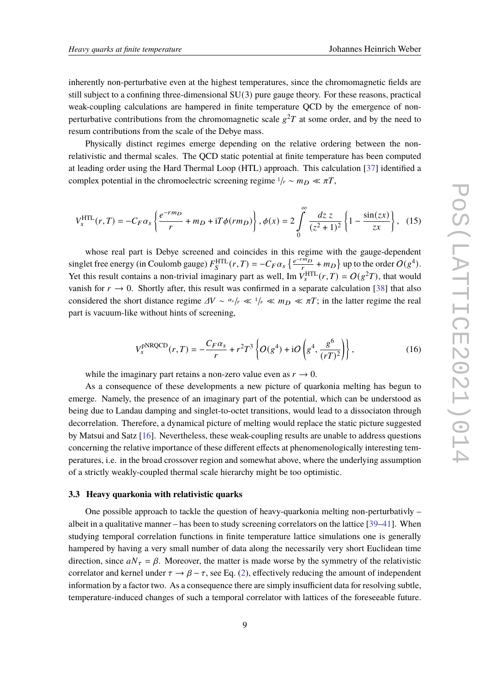inherently non-perturbative even at the highest temperatures, since the chromomagnetic fields are still subject to a confining three-dimensional  $SU(3)$  pure gauge theory. For these reasons, practical weak-coupling calculations are hampered in finite temperature QCD by the emergence of nonperturbative contributions from the chromomagnetic scale  $g^2T$  at some order, and by the need to resum contributions from the scale of the Debye mass.

Physically distinct regimes emerge depending on the relative ordering between the nonrelativistic and thermal scales. The QCD static potential at finite temperature has been computed at leading order using the Hard Thermal Loop (HTL) approach. This calculation [\[37\]](#page-19-15) identified a complex potential in the chromoelectric screening regime  $1/r \sim m_D \ll \pi T$ ,

$$
V_s^{\text{HTL}}(r,T) = -C_F \alpha_s \left\{ \frac{e^{-rm_D}}{r} + m_D + iT \phi(r m_D) \right\}, \phi(x) = 2 \int_0^\infty \frac{dz \, z}{(z^2 + 1)^2} \left\{ 1 - \frac{\sin(zx)}{zx} \right\}, \tag{15}
$$

whose real part is Debye screened and coincides in this regime with the gauge-dependent singlet free energy (in Coulomb gauge)  $F_S^{\text{HTL}}(r,T) = -C_F \alpha_s \left\{ \frac{e^{-rm}}{r} \right\}$  $\frac{P_{m_D}}{P}$  +  $m_D$ } up to the order  $O(g^4)$ . Yet this result contains a non-trivial imaginary part as well, Im  $V_s^{\text{HTL}}(r,T) = O(g^2T)$ , that would vanish for  $r \rightarrow 0$ . Shortly after, this result was confirmed in a separate calculation [\[38\]](#page-19-16) that also considered the short distance regime  $\Delta V \sim \frac{\alpha_s}{r} \ll 1/r \ll m_D \ll \pi T$ ; in the latter regime the real part is vacuum-like without hints of screening,

<span id="page-8-1"></span>
$$
V_s^{\text{pNRQCD}}(r,T) = -\frac{C_F \alpha_s}{r} + r^2 T^3 \left\{ O(g^4) + iO\left(g^4, \frac{g^6}{(rT)^2}\right) \right\},\tag{16}
$$

while the imaginary part retains a non-zero value even as  $r \to 0$ .

As a consequence of these developments a new picture of quarkonia melting has begun to emerge. Namely, the presence of an imaginary part of the potential, which can be understood as being due to Landau damping and singlet-to-octet transitions, would lead to a dissociaton through decorrelation. Therefore, a dynamical picture of melting would replace the static picture suggested by Matsui and Satz [\[16\]](#page-18-13). Nevertheless, these weak-coupling results are unable to address questions concerning the relative importance of these different effects at phenomenologically interesting temperatures, i.e. in the broad crossover region and somewhat above, where the underlying assumption of a strictly weakly-coupled thermal scale hierarchy might be too optimistic.

## <span id="page-8-0"></span>**3.3 Heavy quarkonia with relativistic quarks**

One possible approach to tackle the question of heavy-quarkonia melting non-perturbativly – albeit in a qualitative manner – has been to study screening correlators on the lattice [\[39](#page-20-0)[–41\]](#page-20-1). When studying temporal correlation functions in finite temperature lattice simulations one is generally hampered by having a very small number of data along the necessarily very short Euclidean time direction, since  $aN_{\tau} = \beta$ . Moreover, the matter is made worse by the symmetry of the relativistic correlator and kernel under  $\tau \to \beta - \tau$ , see Eq. [\(2\)](#page-3-0), effectively reducing the amount of independent information by a factor two. As a consequence there are simply insufficient data for resolving subtle, temperature-induced changes of such a temporal correlator with lattices of the foreseeable future.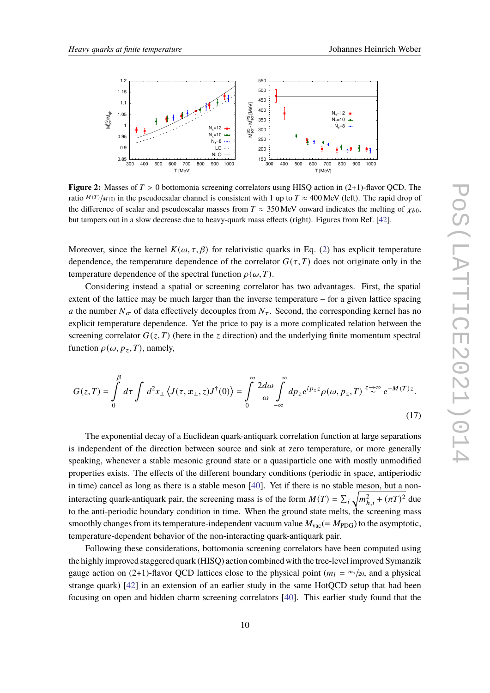<span id="page-9-1"></span>

**Figure 2:** Masses of  $T > 0$  bottomonia screening correlators using HISQ action in  $(2+1)$ -flavor QCD. The ratio  $M(T)/_{M(0)}$  in the pseudocsalar channel is consistent with 1 up to  $T \approx 400$  MeV (left). The rapid drop of the difference of scalar and pseudoscalar masses from  $T \approx 350$  MeV onward indicates the melting of  $\chi_{b0}$ , but tampers out in a slow decrease due to heavy-quark mass effects (right). Figures from Ref. [\[42\]](#page-20-2).

Moreover, since the kernel  $K(\omega, \tau, \beta)$  for relativistic quarks in Eq. [\(2\)](#page-3-0) has explicit temperature dependence, the temperature dependence of the correlator  $G(\tau, T)$  does not originate only in the temperature dependence of the spectral function  $\rho(\omega, T)$ .

Considering instead a spatial or screening correlator has two advantages. First, the spatial extent of the lattice may be much larger than the inverse temperature – for a given lattice spacing a the number  $N_{\sigma}$  of data effectively decouples from  $N_{\tau}$ . Second, the corresponding kernel has no explicit temperature dependence. Yet the price to pay is a more complicated relation between the screening correlator  $G(z, T)$  (here in the z direction) and the underlying finite momentum spectral function  $\rho(\omega, p_z, T)$ , namely,

<span id="page-9-0"></span>
$$
G(z,T) = \int_{0}^{\beta} d\tau \int d^{2}x_{\perp} \left\langle J(\tau, x_{\perp}, z)J^{\dagger}(0) \right\rangle = \int_{0}^{\infty} \frac{2d\omega}{\omega} \int_{-\infty}^{\infty} dp_{z} e^{ip_{z}z} \rho(\omega, p_{z}, T) \stackrel{z \to \infty}{\sim} e^{-M(T)z}.
$$
\n(17)

The exponential decay of a Euclidean quark-antiquark correlation function at large separations is independent of the direction between source and sink at zero temperature, or more generally speaking, whenever a stable mesonic ground state or a quasiparticle one with mostly unmodified properties exists. The effects of the different boundary conditions (periodic in space, antiperiodic in time) cancel as long as there is a stable meson [\[40\]](#page-20-3). Yet if there is no stable meson, but a noninteracting quark-antiquark pair, the screening mass is of the form  $M(T) = \sum_i \sqrt{m_{h,i}^2 + (\pi T)^2}$  due to the anti-periodic boundary condition in time. When the ground state melts, the screening mass smoothly changes from its temperature-independent vacuum value  $M_{\text{vac}} (= M_{\text{PDG}})$  to the asymptotic, temperature-dependent behavior of the non-interacting quark-antiquark pair.

Following these considerations, bottomonia screening correlators have been computed using the highly improved staggered quark (HISQ) action combined with the tree-level improved Symanzik gauge action on (2+1)-flavor QCD lattices close to the physical point  $(m_l = m_s/20)$ , and a physical strange quark) [\[42\]](#page-20-2) in an extension of an earlier study in the same HotQCD setup that had been focusing on open and hidden charm screening correlators [\[40\]](#page-20-3). This earlier study found that the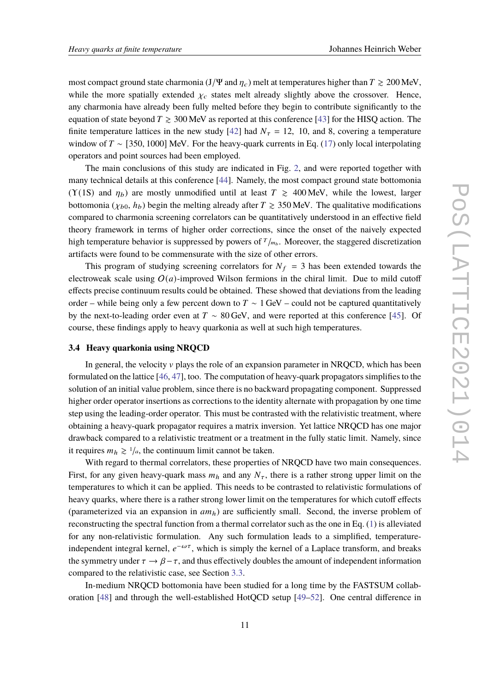most compact ground state charmonia (J/Ψ and  $\eta_c$ ) melt at temperatures higher than  $T \ge 200$  MeV, while the more spatially extended  $\chi_c$  states melt already slightly above the crossover. Hence, any charmonia have already been fully melted before they begin to contribute significantly to the equation of state beyond  $T \ge 300$  MeV as reported at this conference [\[43\]](#page-20-4) for the HISQ action. The finite temperature lattices in the new study [\[42\]](#page-20-2) had  $N_{\tau} = 12, 10,$  and 8, covering a temperature window of  $T \sim [350, 1000]$  MeV. For the heavy-quark currents in Eq. [\(17\)](#page-9-0) only local interpolating operators and point sources had been employed.

The main conclusions of this study are indicated in Fig. [2,](#page-9-1) and were reported together with many technical details at this conference [\[44\]](#page-20-5). Namely, the most compact ground state bottomonia (Y(1S) and  $\eta_b$ ) are mostly unmodified until at least  $T \ge 400$  MeV, while the lowest, larger bottomonia ( $\chi_{b0}$ ,  $h_b$ ) begin the melting already after  $T \ge 350$  MeV. The qualitative modifications compared to charmonia screening correlators can be quantitatively understood in an effective field theory framework in terms of higher order corrections, since the onset of the naively expected high temperature behavior is suppressed by powers of  $T_{\mu\nu}$ . Moreover, the staggered discretization artifacts were found to be commensurate with the size of other errors.

This program of studying screening correlators for  $N_f = 3$  has been extended towards the electroweak scale using  $O(a)$ -improved Wilson fermions in the chiral limit. Due to mild cutoff effects precise continuum results could be obtained. These showed that deviations from the leading order – while being only a few percent down to  $T \sim 1$  GeV – could not be captured quantitatively by the next-to-leading order even at  $T \sim 80$  GeV, and were reported at this conference [\[45\]](#page-20-6). Of course, these findings apply to heavy quarkonia as well at such high temperatures.

## <span id="page-10-0"></span>**3.4 Heavy quarkonia using NRQCD**

In general, the velocity  $\nu$  plays the role of an expansion parameter in NRQCD, which has been formulated on the lattice [\[46,](#page-20-7) [47\]](#page-20-8), too. The computation of heavy-quark propagators simplifies to the solution of an initial value problem, since there is no backward propagating component. Suppressed higher order operator insertions as corrections to the identity alternate with propagation by one time step using the leading-order operator. This must be contrasted with the relativistic treatment, where obtaining a heavy-quark propagator requires a matrix inversion. Yet lattice NRQCD has one major drawback compared to a relativistic treatment or a treatment in the fully static limit. Namely, since it requires  $m_h \geq 1/a$ , the continuum limit cannot be taken.

With regard to thermal correlators, these properties of NRQCD have two main consequences. First, for any given heavy-quark mass  $m_h$  and any  $N_{\tau}$ , there is a rather strong upper limit on the temperatures to which it can be applied. This needs to be contrasted to relativistic formulations of heavy quarks, where there is a rather strong lower limit on the temperatures for which cutoff effects (parameterized via an expansion in  $am_h$ ) are sufficiently small. Second, the inverse problem of reconstructing the spectral function from a thermal correlator such as the one in Eq. [\(1\)](#page-3-1) is alleviated for any non-relativistic formulation. Any such formulation leads to a simplified, temperatureindependent integral kernel,  $e^{-\omega \tau}$ , which is simply the kernel of a Laplace transform, and breaks the symmetry under  $\tau \to \beta - \tau$ , and thus effectively doubles the amount of independent information compared to the relativistic case, see Section [3.3.](#page-8-0)

In-medium NRQCD bottomonia have been studied for a long time by the FASTSUM collaboration [\[48\]](#page-20-9) and through the well-established HotQCD setup [\[49](#page-20-10)[–52\]](#page-20-11). One central difference in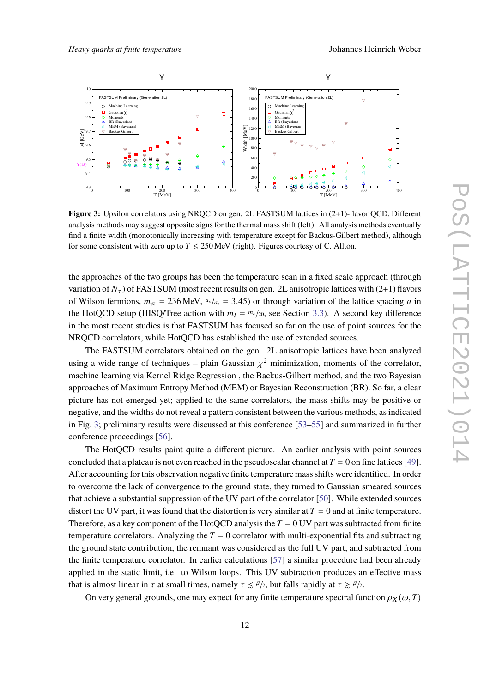<span id="page-11-0"></span>

**Figure 3:** Upsilon correlators using NRQCD on gen. 2L FASTSUM lattices in (2+1)-flavor QCD. Different analysis methods may suggest opposite signs for the thermal mass shift (left). All analysis methods eventually find a finite width (monotonically increasing with temperature except for Backus-Gilbert method), although for some consistent with zero up to  $T \le 250$  MeV (right). Figures courtesy of C. Allton.

the approaches of the two groups has been the temperature scan in a fixed scale approach (through variation of  $N_{\tau}$ ) of FASTSUM (most recent results on gen. 2L anisotropic lattices with (2+1) flavors of Wilson fermions,  $m_{\pi} = 236$  MeV,  $a_s/a_t = 3.45$ ) or through variation of the lattice spacing a in the HotQCD setup (HISQ/Tree action with  $m_l = m_s/20$ , see Section [3.3\)](#page-8-0). A second key difference in the most recent studies is that FASTSUM has focused so far on the use of point sources for the NRQCD correlators, while HotQCD has established the use of extended sources.

The FASTSUM correlators obtained on the gen. 2L anisotropic lattices have been analyzed using a wide range of techniques – plain Gaussian  $\chi^2$  minimization, moments of the correlator, machine learning via Kernel Ridge Regression , the Backus-Gilbert method, and the two Bayesian approaches of Maximum Entropy Method (MEM) or Bayesian Reconstruction (BR). So far, a clear picture has not emerged yet; applied to the same correlators, the mass shifts may be positive or negative, and the widths do not reveal a pattern consistent between the various methods, as indicated in Fig. [3;](#page-11-0) preliminary results were discussed at this conference [\[53–](#page-20-12)[55\]](#page-20-13) and summarized in further conference proceedings [\[56\]](#page-20-14).

The HotQCD results paint quite a different picture. An earlier analysis with point sources concluded that a plateau is not even reached in the pseudoscalar channel at  $T = 0$  on fine lattices [\[49\]](#page-20-10). After accounting for this observation negative finite temperature mass shifts were identified. In order to overcome the lack of convergence to the ground state, they turned to Gaussian smeared sources that achieve a substantial suppression of the UV part of the correlator [\[50\]](#page-20-15). While extended sources distort the UV part, it was found that the distortion is very similar at  $T = 0$  and at finite temperature. Therefore, as a key component of the HotQCD analysis the  $T = 0$  UV part was subtracted from finite temperature correlators. Analyzing the  $T = 0$  correlator with multi-exponential fits and subtracting the ground state contribution, the remnant was considered as the full UV part, and subtracted from the finite temperature correlator. In earlier calculations [\[57\]](#page-21-0) a similar procedure had been already applied in the static limit, i.e. to Wilson loops. This UV subtraction produces an effective mass that is almost linear in  $\tau$  at small times, namely  $\tau \le \frac{\beta}{2}$ , but falls rapidly at  $\tau \ge \frac{\beta}{2}$ .

On very general grounds, one may expect for any finite temperature spectral function  $\rho_X(\omega, T)$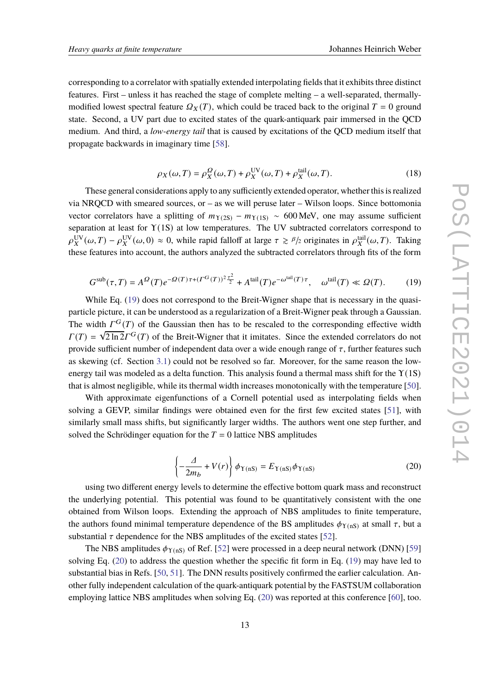corresponding to a correlator with spatially extended interpolating fields that it exhibits three distinct features. First – unless it has reached the stage of complete melting – a well-separated, thermallymodified lowest spectral feature  $\Omega_X(T)$ , which could be traced back to the original  $T = 0$  ground state. Second, a UV part due to excited states of the quark-antiquark pair immersed in the QCD medium. And third, a *low-energy tail* that is caused by excitations of the QCD medium itself that propagate backwards in imaginary time [\[58\]](#page-21-1).

<span id="page-12-0"></span>
$$
\rho_X(\omega, T) = \rho_X^{\Omega}(\omega, T) + \rho_X^{\text{UV}}(\omega, T) + \rho_X^{\text{tail}}(\omega, T). \tag{18}
$$

These general considerations apply to any sufficiently extended operator, whether this is realized via NRQCD with smeared sources, or – as we will peruse later – Wilson loops. Since bottomonia vector correlators have a splitting of  $m_{Y(2S)} - m_{Y(1S)} \sim 600 \text{ MeV}$ , one may assume sufficient separation at least for Υ(1S) at low temperatures. The UV subtracted correlators correspond to  $\rho_X^{\rm UV}(\omega,T) - \rho_X^{\rm UV}(\omega,0) \approx 0$ , while rapid falloff at large  $\tau \ge \frac{\beta}{2}$  originates in  $\rho_X^{\rm tail}(\omega,T)$ . Taking these features into account, the authors analyzed the subtracted correlators through fits of the form

$$
G^{\text{sub}}(\tau,T) = A^{\Omega}(T)e^{-\Omega(T)\tau + (T^G(T))^2\frac{\tau^2}{2}} + A^{\text{tail}}(T)e^{-\omega^{\text{tail}}(T)\tau}, \quad \omega^{\text{tail}}(T) \ll \Omega(T). \tag{19}
$$

While Eq. [\(19\)](#page-12-0) does not correspond to the Breit-Wigner shape that is necessary in the quasiparticle picture, it can be understood as a regularization of a Breit-Wigner peak through a Gaussian. The width  $\Gamma^G(T)$  of the Gaussian then has to be rescaled to the corresponding effective width  $\Gamma(T) = \sqrt{2 \ln 2} \Gamma^G(T)$  of the Breit-Wigner that it imitates. Since the extended correlators do not provide sufficient number of independent data over a wide enough range of  $\tau$ , further features such as skewing (cf. Section [3.1\)](#page-6-1) could not be resolved so far. Moreover, for the same reason the lowenergy tail was modeled as a delta function. This analysis found a thermal mass shift for the  $\Upsilon(1S)$ that is almost negligible, while its thermal width increases monotonically with the temperature [\[50\]](#page-20-15).

With approximate eigenfunctions of a Cornell potential used as interpolating fields when solving a GEVP, similar findings were obtained even for the first few excited states [\[51\]](#page-20-16), with similarly small mass shifts, but significantly larger widths. The authors went one step further, and solved the Schrödinger equation for the  $T = 0$  lattice NBS amplitudes

<span id="page-12-1"></span>
$$
\left\{-\frac{\Delta}{2m_b} + V(r)\right\}\phi_{\Upsilon(nS)} = E_{\Upsilon(nS)}\phi_{\Upsilon(nS)}\tag{20}
$$

using two different energy levels to determine the effective bottom quark mass and reconstruct the underlying potential. This potential was found to be quantitatively consistent with the one obtained from Wilson loops. Extending the approach of NBS amplitudes to finite temperature, the authors found minimal temperature dependence of the BS amplitudes  $\phi_{\Upsilon(nS)}$  at small  $\tau$ , but a substantial  $\tau$  dependence for the NBS amplitudes of the excited states [\[52\]](#page-20-11).

The NBS amplitudes  $\phi_{\Upsilon(nS)}$  of Ref. [\[52\]](#page-20-11) were processed in a deep neural network (DNN) [\[59\]](#page-21-2) solving Eq. [\(20\)](#page-12-1) to address the question whether the specific fit form in Eq. [\(19\)](#page-12-0) may have led to substantial bias in Refs. [\[50,](#page-20-15) [51\]](#page-20-16). The DNN results positively confirmed the earlier calculation. Another fully independent calculation of the quark-antiquark potential by the FASTSUM collaboration employing lattice NBS amplitudes when solving Eq. [\(20\)](#page-12-1) was reported at this conference [\[60\]](#page-21-3), too.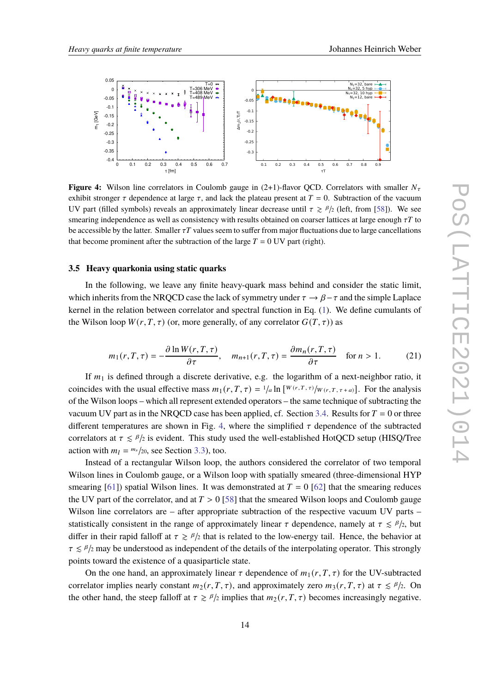<span id="page-13-0"></span>

**Figure 4:** Wilson line correlators in Coulomb gauge in  $(2+1)$ -flavor QCD. Correlators with smaller  $N_{\tau}$ exhibit stronger  $\tau$  dependence at large  $\tau$ , and lack the plateau present at  $T = 0$ . Subtraction of the vacuum UV part (filled symbols) reveals an approximately linear decrease until  $\tau \ge \frac{\beta}{2}$  (left, from [\[58\]](#page-21-1)). We see smearing independence as well as consistency with results obtained on coarser lattices at large enough  $\tau T$  to be accessible by the latter. Smaller  $\tau T$  values seem to suffer from major fluctuations due to large cancellations that become prominent after the subtraction of the large  $T = 0$  UV part (right).

## **3.5 Heavy quarkonia using static quarks**

In the following, we leave any finite heavy-quark mass behind and consider the static limit, which inherits from the NRQCD case the lack of symmetry under  $\tau \to \beta - \tau$  and the simple Laplace kernel in the relation between correlator and spectral function in Eq. [\(1\)](#page-3-1). We define cumulants of the Wilson loop  $W(r, T, \tau)$  (or, more generally, of any correlator  $G(T, \tau)$ ) as

$$
m_1(r,T,\tau) = -\frac{\partial \ln W(r,T,\tau)}{\partial \tau}, \quad m_{n+1}(r,T,\tau) = \frac{\partial m_n(r,T,\tau)}{\partial \tau} \quad \text{for } n > 1. \tag{21}
$$

If  $m_1$  is defined through a discrete derivative, e.g. the logarithm of a next-neighbor ratio, it coincides with the usual effective mass  $m_1(r, T, \tau) = \frac{1}{a} \ln \left[ \frac{W(r, T, \tau)}{W(r, T, \tau + a)} \right]$ . For the analysis of the Wilson loops – which all represent extended operators – the same technique of subtracting the vacuum UV part as in the NRQCD case has been applied, cf. Section [3.4.](#page-10-0) Results for  $T = 0$  or three different temperatures are shown in Fig. [4,](#page-13-0) where the simplified  $\tau$  dependence of the subtracted correlators at  $\tau \le \beta/2$  is evident. This study used the well-established HotQCD setup (HISQ/Tree action with  $m_l = \frac{m_s}{20}$ , see Section [3.3\)](#page-8-0), too.

Instead of a rectangular Wilson loop, the authors considered the correlator of two temporal Wilson lines in Coulomb gauge, or a Wilson loop with spatially smeared (three-dimensional HYP smearing [\[61\]](#page-21-4)) spatial Wilson lines. It was demonstrated at  $T = 0$  [\[62\]](#page-21-5) that the smearing reduces the UV part of the correlator, and at  $T > 0$  [\[58\]](#page-21-1) that the smeared Wilson loops and Coulomb gauge Wilson line correlators are – after appropriate subtraction of the respective vacuum UV parts – statistically consistent in the range of approximately linear  $\tau$  dependence, namely at  $\tau \le \beta/2$ , but differ in their rapid falloff at  $\tau \ge \frac{\beta}{2}$  that is related to the low-energy tail. Hence, the behavior at  $\tau \le \beta/2$  may be understood as independent of the details of the interpolating operator. This strongly points toward the existence of a quasiparticle state.

On the one hand, an approximately linear  $\tau$  dependence of  $m_1(r, T, \tau)$  for the UV-subtracted correlator implies nearly constant  $m_2(r, T, \tau)$ , and approximately zero  $m_3(r, T, \tau)$  at  $\tau \leq \frac{\beta}{2}$ . On the other hand, the steep falloff at  $\tau \ge \frac{\beta}{2}$  implies that  $m_2(r, T, \tau)$  becomes increasingly negative.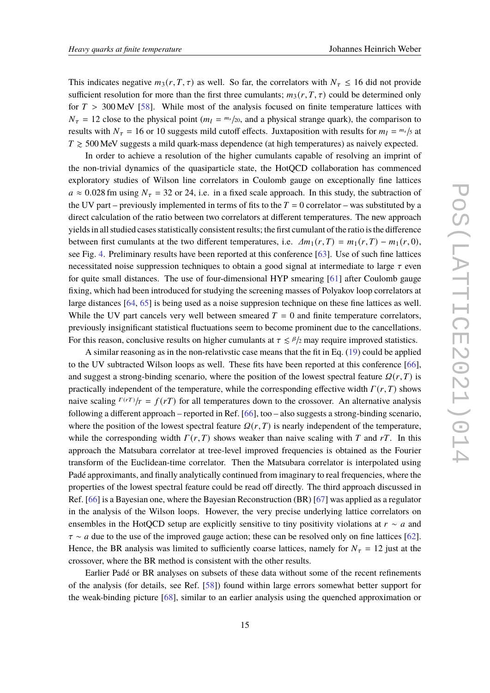This indicates negative  $m_3(r, T, \tau)$  as well. So far, the correlators with  $N_{\tau} \leq 16$  did not provide sufficient resolution for more than the first three cumulants;  $m_3(r, T, \tau)$  could be determined only for  $T > 300$  MeV [\[58\]](#page-21-1). While most of the analysis focused on finite temperature lattices with  $N_{\tau} = 12$  close to the physical point  $(m_l = m_s/20)$ , and a physical strange quark), the comparison to results with  $N_{\tau} = 16$  or 10 suggests mild cutoff effects. Juxtaposition with results for  $m_l = m_s / 5$  at  $T \ge 500$  MeV suggests a mild quark-mass dependence (at high temperatures) as naively expected.

In order to achieve a resolution of the higher cumulants capable of resolving an imprint of the non-trivial dynamics of the quasiparticle state, the HotQCD collaboration has commenced exploratory studies of Wilson line correlators in Coulomb gauge on exceptionally fine lattices  $a \approx 0.028$  fm using  $N_{\tau} = 32$  or 24, i.e. in a fixed scale approach. In this study, the subtraction of the UV part – previously implemented in terms of fits to the  $T = 0$  correlator – was substituted by a direct calculation of the ratio between two correlators at different temperatures. The new approach yields in all studied cases statistically consistent results; the first cumulant of the ratio is the difference between first cumulants at the two different temperatures, i.e.  $\Delta m_1(r, T) = m_1(r, T) - m_1(r, 0)$ , see Fig. [4.](#page-13-0) Preliminary results have been reported at this conference [\[63\]](#page-21-6). Use of such fine lattices necessitated noise suppression techniques to obtain a good signal at intermediate to large  $\tau$  even for quite small distances. The use of four-dimensional HYP smearing [\[61\]](#page-21-4) after Coulomb gauge fixing, which had been introduced for studying the screening masses of Polyakov loop correlators at large distances [\[64,](#page-21-7) [65\]](#page-21-8) is being used as a noise suppresion technique on these fine lattices as well. While the UV part cancels very well between smeared  $T = 0$  and finite temperature correlators, previously insignificant statistical fluctuations seem to become prominent due to the cancellations. For this reason, conclusive results on higher cumulants at  $\tau \le \frac{\beta}{2}$  may require improved statistics.

A similar reasoning as in the non-relativstic case means that the fit in Eq. [\(19\)](#page-12-0) could be applied to the UV subtracted Wilson loops as well. These fits have been reported at this conference [\[66\]](#page-21-9), and suggest a strong-binding scenario, where the position of the lowest spectral feature  $Q(r, T)$  is practically independent of the temperature, while the corresponding effective width  $\Gamma(r, T)$  shows naive scaling  $\Gamma(rT)/T = f(rT)$  for all temperatures down to the crossover. An alternative analysis following a different approach – reported in Ref. [\[66\]](#page-21-9), too – also suggests a strong-binding scenario, where the position of the lowest spectral feature  $\Omega(r, T)$  is nearly independent of the temperature, while the corresponding width  $\Gamma(r, T)$  shows weaker than naive scaling with T and rT. In this approach the Matsubara correlator at tree-level improved frequencies is obtained as the Fourier transform of the Euclidean-time correlator. Then the Matsubara correlator is interpolated using Padé approximants, and finally analytically continued from imaginary to real frequencies, where the properties of the lowest spectral feature could be read off directly. The third approach discussed in Ref. [\[66\]](#page-21-9) is a Bayesian one, where the Bayesian Reconstruction (BR) [\[67\]](#page-21-10) was applied as a regulator in the analysis of the Wilson loops. However, the very precise underlying lattice correlators on ensembles in the HotQCD setup are explicitly sensitive to tiny positivity violations at  $r \sim a$  and  $\tau \sim a$  due to the use of the improved gauge action; these can be resolved only on fine lattices [\[62\]](#page-21-5). Hence, the BR analysis was limited to sufficiently coarse lattices, namely for  $N_{\tau} = 12$  just at the crossover, where the BR method is consistent with the other results.

Earlier Padé or BR analyses on subsets of these data without some of the recent refinements of the analysis (for details, see Ref. [\[58\]](#page-21-1)) found within large errors somewhat better support for the weak-binding picture [\[68\]](#page-21-11), similar to an earlier analysis using the quenched approximation or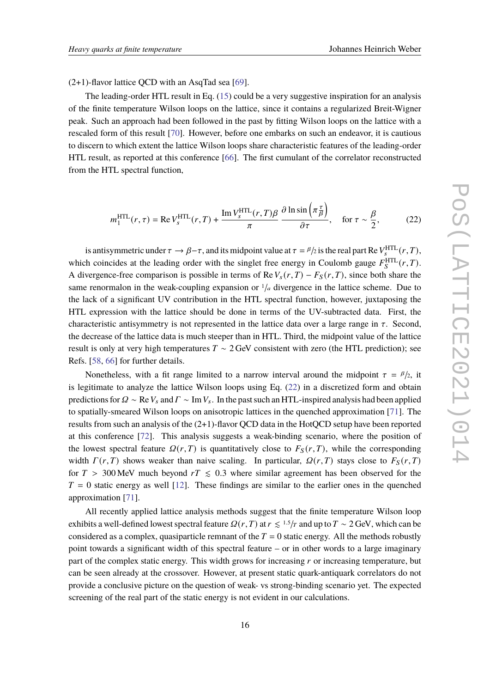$(2+1)$ -flavor lattice QCD with an AsqTad sea [\[69\]](#page-21-12).

The leading-order HTL result in Eq. [\(15\)](#page-8-1) could be a very suggestive inspiration for an analysis of the finite temperature Wilson loops on the lattice, since it contains a regularized Breit-Wigner peak. Such an approach had been followed in the past by fitting Wilson loops on the lattice with a rescaled form of this result [\[70\]](#page-21-13). However, before one embarks on such an endeavor, it is cautious to discern to which extent the lattice Wilson loops share characteristic features of the leading-order HTL result, as reported at this conference [\[66\]](#page-21-9). The first cumulant of the correlator reconstructed from the HTL spectral function,

<span id="page-15-0"></span>
$$
m_1^{\text{HTL}}(r,\tau) = \text{Re}\, V_s^{\text{HTL}}(r,T) + \frac{\text{Im}\, V_s^{\text{HTL}}(r,T)\beta}{\pi} \, \frac{\partial \ln \sin\left(\pi \frac{\tau}{\beta}\right)}{\partial \tau}, \quad \text{for } \tau \sim \frac{\beta}{2},\tag{22}
$$

is antisymmetric under  $\tau \to \beta - \tau$ , and its midpoint value at  $\tau = \beta/2$  is the real part Re  $V_s^{\text{HTL}}(r, T)$ , which coincides at the leading order with the singlet free energy in Coulomb gauge  $F_S^{\text{HTL}}(r,T)$ . A divergence-free comparison is possible in terms of Re  $V_s(r,T) - F_s(r,T)$ , since both share the same renormalon in the weak-coupling expansion or  $\frac{1}{a}$  divergence in the lattice scheme. Due to the lack of a significant UV contribution in the HTL spectral function, however, juxtaposing the HTL expression with the lattice should be done in terms of the UV-subtracted data. First, the characteristic antisymmetry is not represented in the lattice data over a large range in  $\tau$ . Second, the decrease of the lattice data is much steeper than in HTL. Third, the midpoint value of the lattice result is only at very high temperatures  $T \sim 2 \text{ GeV}$  consistent with zero (the HTL prediction); see Refs. [\[58,](#page-21-1) [66\]](#page-21-9) for further details.

Nonetheless, with a fit range limited to a narrow interval around the midpoint  $\tau = \frac{\beta}{2}$ , it is legitimate to analyze the lattice Wilson loops using Eq. [\(22\)](#page-15-0) in a discretized form and obtain predictions for  $\Omega \sim \text{Re } V_s$  and  $\Gamma \sim \text{Im } V_s$ . In the past such an HTL-inspired analysis had been applied to spatially-smeared Wilson loops on anisotropic lattices in the quenched approximation [\[71\]](#page-21-14). The results from such an analysis of the (2+1)-flavor QCD data in the HotQCD setup have been reported at this conference [\[72\]](#page-21-15). This analysis suggests a weak-binding scenario, where the position of the lowest spectral feature  $\Omega(r,T)$  is quantitatively close to  $F_S(r,T)$ , while the corresponding width  $\Gamma(r,T)$  shows weaker than naive scaling. In particular,  $\Omega(r,T)$  stays close to  $F_S(r,T)$ for  $T > 300$  MeV much beyond  $rT \le 0.3$  where similar agreement has been observed for the  $T = 0$  static energy as well [\[12\]](#page-18-9). These findings are similar to the earlier ones in the quenched approximation [\[71\]](#page-21-14).

All recently applied lattice analysis methods suggest that the finite temperature Wilson loop exhibits a well-defined lowest spectral feature  $Q(r, T)$  at  $r \leq 1.5/r$  and up to  $T \sim 2$  GeV, which can be considered as a complex, quasiparticle remnant of the  $T = 0$  static energy. All the methods robustly point towards a significant width of this spectral feature – or in other words to a large imaginary part of the complex static energy. This width grows for increasing  *or increasing temperature, but* can be seen already at the crossover. However, at present static quark-antiquark correlators do not provide a conclusive picture on the question of weak- vs strong-binding scenario yet. The expected screening of the real part of the static energy is not evident in our calculations.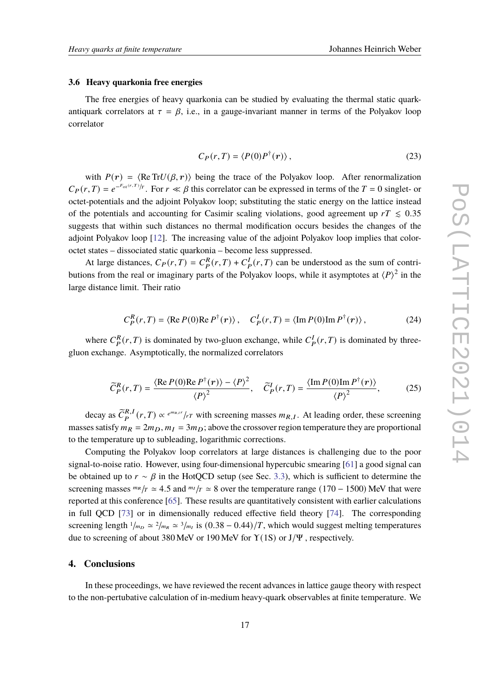#### **3.6 Heavy quarkonia free energies**

The free energies of heavy quarkonia can be studied by evaluating the thermal static quarkantiquark correlators at  $\tau = \beta$ , i.e., in a gauge-invariant manner in terms of the Polyakov loop correlator

$$
C_P(r,T) = \langle P(0)P^{\dagger}(r)\rangle, \qquad (23)
$$

with  $P(r) = \langle \text{Re Tr} U(\beta, r) \rangle$  being the trace of the Polyakov loop. After renormalization  $C_P(r,T) = e^{-F_{qq}(r,T)/r}$ . For  $r \ll \beta$  this correlator can be expressed in terms of the  $T = 0$  singlet- or octet-potentials and the adjoint Polyakov loop; substituting the static energy on the lattice instead of the potentials and accounting for Casimir scaling violations, good agreement up  $rT \leq 0.35$ suggests that within such distances no thermal modification occurs besides the changes of the adjoint Polyakov loop [\[12\]](#page-18-9). The increasing value of the adjoint Polyakov loop implies that coloroctet states – dissociated static quarkonia – become less suppressed.

At large distances,  $C_P(r,T) = C_P^R(r,T) + C_P^I(r,T)$  can be understood as the sum of contributions from the real or imaginary parts of the Polyakov loops, while it asymptotes at  $\langle P \rangle^2$  in the large distance limit. Their ratio

$$
C_P^R(r,T) = \langle \operatorname{Re} P(0) \operatorname{Re} P^{\dagger}(r) \rangle, \quad C_P^I(r,T) = \langle \operatorname{Im} P(0) \operatorname{Im} P^{\dagger}(r) \rangle, \tag{24}
$$

where  $C_P^R(r,T)$  is dominated by two-gluon exchange, while  $C_P^I(r,T)$  is dominated by threegluon exchange. Asymptotically, the normalized correlators

$$
\widetilde{C}_P^R(r,T) = \frac{\langle \operatorname{Re} P(0) \operatorname{Re} P^{\dagger}(r) \rangle - \langle P \rangle^2}{\langle P \rangle^2}, \quad \widetilde{C}_P^I(r,T) = \frac{\langle \operatorname{Im} P(0) \operatorname{Im} P^{\dagger}(r) \rangle}{\langle P \rangle^2},\tag{25}
$$

decay as  $\tilde{C}_{P}^{R,I}(r,T) \propto e^{m_{R,I}r}/rT$  with screening masses  $m_{R,I}$ . At leading order, these screening masses satisfy  $m_R = 2m_D$ ,  $m_I = 3m_D$ ; above the crossover region temperature they are proportional to the temperature up to subleading, logarithmic corrections.

Computing the Polyakov loop correlators at large distances is challenging due to the poor signal-to-noise ratio. However, using four-dimensional hypercubic smearing [\[61\]](#page-21-4) a good signal can be obtained up to  $r \sim \beta$  in the HotQCD setup (see Sec. [3.3\)](#page-8-0), which is sufficient to determine the screening masses  $m_R/r \approx 4.5$  and  $m_I/r \approx 8$  over the temperature range (170 – 1500) MeV that were reported at this conference [\[65\]](#page-21-8). These results are quantitatively consistent with earlier calculations in full QCD [\[73\]](#page-21-16) or in dimensionally reduced effective field theory [\[74\]](#page-21-17). The corresponding screening length  $1/m_D \simeq 2/m_R \simeq 3/m_I$  is  $(0.38 - 0.44)/T$ , which would suggest melting temperatures due to screening of about 380 MeV or 190 MeV for  $\Upsilon(1S)$  or  $J/\Psi$ , respectively.

# <span id="page-16-0"></span>**4. Conclusions**

In these proceedings, we have reviewed the recent advances in lattice gauge theory with respect to the non-pertubative calculation of in-medium heavy-quark observables at finite temperature. We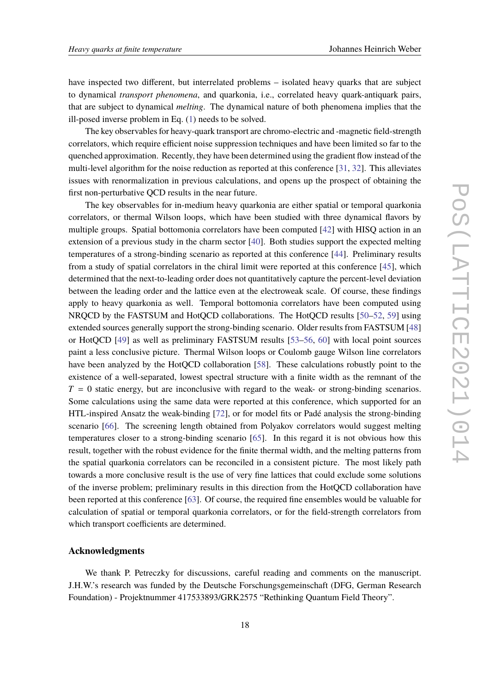have inspected two different, but interrelated problems – isolated heavy quarks that are subject to dynamical *transport phenomena*, and quarkonia, i.e., correlated heavy quark-antiquark pairs, that are subject to dynamical *melting*. The dynamical nature of both phenomena implies that the ill-posed inverse problem in Eq. [\(1\)](#page-3-1) needs to be solved.

The key observables for heavy-quark transport are chromo-electric and -magnetic field-strength correlators, which require efficient noise suppression techniques and have been limited so far to the quenched approximation. Recently, they have been determined using the gradient flow instead of the multi-level algorithm for the noise reduction as reported at this conference [\[31,](#page-19-9) [32\]](#page-19-10). This alleviates issues with renormalization in previous calculations, and opens up the prospect of obtaining the first non-perturbative QCD results in the near future.

The key observables for in-medium heavy quarkonia are either spatial or temporal quarkonia correlators, or thermal Wilson loops, which have been studied with three dynamical flavors by multiple groups. Spatial bottomonia correlators have been computed [\[42\]](#page-20-2) with HISQ action in an extension of a previous study in the charm sector [\[40\]](#page-20-3). Both studies support the expected melting temperatures of a strong-binding scenario as reported at this conference [\[44\]](#page-20-5). Preliminary results from a study of spatial correlators in the chiral limit were reported at this conference [\[45\]](#page-20-6), which determined that the next-to-leading order does not quantitatively capture the percent-level deviation between the leading order and the lattice even at the electroweak scale. Of course, these findings apply to heavy quarkonia as well. Temporal bottomonia correlators have been computed using NRQCD by the FASTSUM and HotQCD collaborations. The HotQCD results [\[50–](#page-20-15)[52,](#page-20-11) [59\]](#page-21-2) using extended sources generally support the strong-binding scenario. Older results from FASTSUM [\[48\]](#page-20-9) or HotQCD [\[49\]](#page-20-10) as well as preliminary FASTSUM results [\[53](#page-20-12)[–56,](#page-20-14) [60\]](#page-21-3) with local point sources paint a less conclusive picture. Thermal Wilson loops or Coulomb gauge Wilson line correlators have been analyzed by the HotQCD collaboration [\[58\]](#page-21-1). These calculations robustly point to the existence of a well-separated, lowest spectral structure with a finite width as the remnant of the  $T = 0$  static energy, but are inconclusive with regard to the weak- or strong-binding scenarios. Some calculations using the same data were reported at this conference, which supported for an HTL-inspired Ansatz the weak-binding [\[72\]](#page-21-15), or for model fits or Padé analysis the strong-binding scenario [\[66\]](#page-21-9). The screening length obtained from Polyakov correlators would suggest melting temperatures closer to a strong-binding scenario [\[65\]](#page-21-8). In this regard it is not obvious how this result, together with the robust evidence for the finite thermal width, and the melting patterns from the spatial quarkonia correlators can be reconciled in a consistent picture. The most likely path towards a more conclusive result is the use of very fine lattices that could exclude some solutions of the inverse problem; preliminary results in this direction from the HotQCD collaboration have been reported at this conference [\[63\]](#page-21-6). Of course, the required fine ensembles would be valuable for calculation of spatial or temporal quarkonia correlators, or for the field-strength correlators from which transport coefficients are determined.

## **Acknowledgments**

We thank P. Petreczky for discussions, careful reading and comments on the manuscript. J.H.W.'s research was funded by the Deutsche Forschungsgemeinschaft (DFG, German Research Foundation) - Projektnummer 417533893/GRK2575 "Rethinking Quantum Field Theory".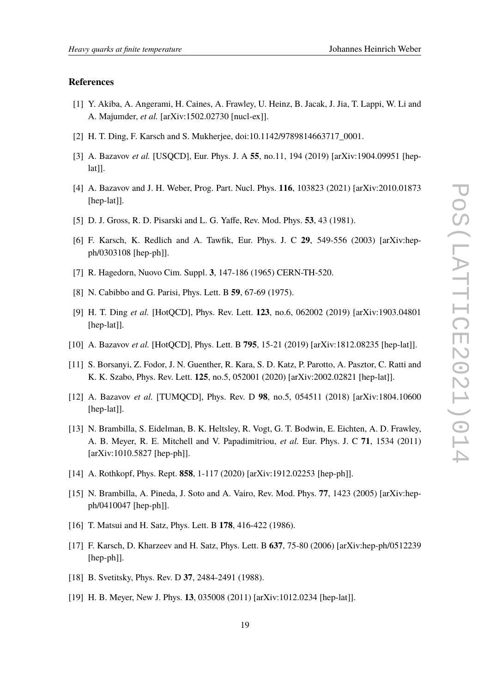## **References**

- <span id="page-18-0"></span>[1] Y. Akiba, A. Angerami, H. Caines, A. Frawley, U. Heinz, B. Jacak, J. Jia, T. Lappi, W. Li and A. Majumder, *et al.* [arXiv:1502.02730 [nucl-ex]].
- [2] H. T. Ding, F. Karsch and S. Mukherjee, doi:10.1142/9789814663717\_0001.
- [3] A. Bazavov *et al.* [USQCD], Eur. Phys. J. A **55**, no.11, 194 (2019) [arXiv:1904.09951 [hep $lat$ ].
- <span id="page-18-1"></span>[4] A. Bazavov and J. H. Weber, Prog. Part. Nucl. Phys. **116**, 103823 (2021) [arXiv:2010.01873 [hep-lat]].
- <span id="page-18-2"></span>[5] D. J. Gross, R. D. Pisarski and L. G. Yaffe, Rev. Mod. Phys. **53**, 43 (1981).
- <span id="page-18-3"></span>[6] F. Karsch, K. Redlich and A. Tawfik, Eur. Phys. J. C **29**, 549-556 (2003) [arXiv:hepph/0303108 [hep-ph]].
- <span id="page-18-4"></span>[7] R. Hagedorn, Nuovo Cim. Suppl. **3**, 147-186 (1965) CERN-TH-520.
- <span id="page-18-5"></span>[8] N. Cabibbo and G. Parisi, Phys. Lett. B **59**, 67-69 (1975).
- <span id="page-18-6"></span>[9] H. T. Ding *et al.* [HotQCD], Phys. Rev. Lett. **123**, no.6, 062002 (2019) [arXiv:1903.04801 [hep-lat]].
- <span id="page-18-7"></span>[10] A. Bazavov *et al.* [HotQCD], Phys. Lett. B **795**, 15-21 (2019) [arXiv:1812.08235 [hep-lat]].
- <span id="page-18-8"></span>[11] S. Borsanyi, Z. Fodor, J. N. Guenther, R. Kara, S. D. Katz, P. Parotto, A. Pasztor, C. Ratti and K. K. Szabo, Phys. Rev. Lett. **125**, no.5, 052001 (2020) [arXiv:2002.02821 [hep-lat]].
- <span id="page-18-9"></span>[12] A. Bazavov *et al.* [TUMQCD], Phys. Rev. D **98**, no.5, 054511 (2018) [arXiv:1804.10600 [hep-lat]].
- <span id="page-18-10"></span>[13] N. Brambilla, S. Eidelman, B. K. Heltsley, R. Vogt, G. T. Bodwin, E. Eichten, A. D. Frawley, A. B. Meyer, R. E. Mitchell and V. Papadimitriou, *et al.* Eur. Phys. J. C **71**, 1534 (2011) [arXiv:1010.5827 [hep-ph]].
- <span id="page-18-11"></span>[14] A. Rothkopf, Phys. Rept. **858**, 1-117 (2020) [arXiv:1912.02253 [hep-ph]].
- <span id="page-18-12"></span>[15] N. Brambilla, A. Pineda, J. Soto and A. Vairo, Rev. Mod. Phys. **77**, 1423 (2005) [arXiv:hepph/0410047 [hep-ph]].
- <span id="page-18-13"></span>[16] T. Matsui and H. Satz, Phys. Lett. B **178**, 416-422 (1986).
- <span id="page-18-14"></span>[17] F. Karsch, D. Kharzeev and H. Satz, Phys. Lett. B **637**, 75-80 (2006) [arXiv:hep-ph/0512239 [hep-ph]].
- <span id="page-18-15"></span>[18] B. Svetitsky, Phys. Rev. D **37**, 2484-2491 (1988).
- <span id="page-18-16"></span>[19] H. B. Meyer, New J. Phys. **13**, 035008 (2011) [arXiv:1012.0234 [hep-lat]].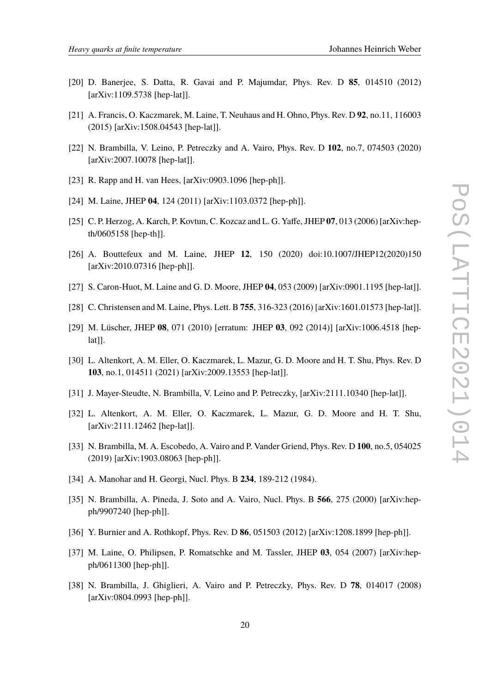- [20] D. Banerjee, S. Datta, R. Gavai and P. Majumdar, Phys. Rev. D **85**, 014510 (2012) [arXiv:1109.5738 [hep-lat]].
- [21] A. Francis, O. Kaczmarek, M. Laine, T. Neuhaus and H. Ohno, Phys. Rev. D **92**, no.11, 116003 (2015) [arXiv:1508.04543 [hep-lat]].
- <span id="page-19-0"></span>[22] N. Brambilla, V. Leino, P. Petreczky and A. Vairo, Phys. Rev. D **102**, no.7, 074503 (2020) [arXiv:2007.10078 [hep-lat]].
- <span id="page-19-1"></span>[23] R. Rapp and H. van Hees, [arXiv:0903.1096 [hep-ph]].
- <span id="page-19-2"></span>[24] M. Laine, JHEP **04**, 124 (2011) [arXiv:1103.0372 [hep-ph]].
- <span id="page-19-3"></span>[25] C. P. Herzog, A. Karch, P. Kovtun, C. Kozcaz and L. G. Yaffe, JHEP **07**, 013 (2006) [arXiv:hepth/0605158 [hep-th]].
- <span id="page-19-4"></span>[26] A. Bouttefeux and M. Laine, JHEP **12**, 150 (2020) doi:10.1007/JHEP12(2020)150 [arXiv:2010.07316 [hep-ph]].
- <span id="page-19-5"></span>[27] S. Caron-Huot, M. Laine and G. D. Moore, JHEP **04**, 053 (2009) [arXiv:0901.1195 [hep-lat]].
- <span id="page-19-6"></span>[28] C. Christensen and M. Laine, Phys. Lett. B **755**, 316-323 (2016) [arXiv:1601.01573 [hep-lat]].
- <span id="page-19-7"></span>[29] M. Lüscher, JHEP **08**, 071 (2010) [erratum: JHEP **03**, 092 (2014)] [arXiv:1006.4518 [hep $lat$ ].
- <span id="page-19-8"></span>[30] L. Altenkort, A. M. Eller, O. Kaczmarek, L. Mazur, G. D. Moore and H. T. Shu, Phys. Rev. D **103**, no.1, 014511 (2021) [arXiv:2009.13553 [hep-lat]].
- <span id="page-19-9"></span>[31] J. Mayer-Steudte, N. Brambilla, V. Leino and P. Petreczky, [arXiv:2111.10340 [hep-lat]].
- <span id="page-19-10"></span>[32] L. Altenkort, A. M. Eller, O. Kaczmarek, L. Mazur, G. D. Moore and H. T. Shu, [arXiv:2111.12462 [hep-lat]].
- <span id="page-19-11"></span>[33] N. Brambilla, M. A. Escobedo, A. Vairo and P. Vander Griend, Phys. Rev. D **100**, no.5, 054025 (2019) [arXiv:1903.08063 [hep-ph]].
- <span id="page-19-12"></span>[34] A. Manohar and H. Georgi, Nucl. Phys. B **234**, 189-212 (1984).
- <span id="page-19-13"></span>[35] N. Brambilla, A. Pineda, J. Soto and A. Vairo, Nucl. Phys. B **566**, 275 (2000) [arXiv:hepph/9907240 [hep-ph]].
- <span id="page-19-14"></span>[36] Y. Burnier and A. Rothkopf, Phys. Rev. D **86**, 051503 (2012) [arXiv:1208.1899 [hep-ph]].
- <span id="page-19-15"></span>[37] M. Laine, O. Philipsen, P. Romatschke and M. Tassler, JHEP **03**, 054 (2007) [arXiv:hepph/0611300 [hep-ph]].
- <span id="page-19-16"></span>[38] N. Brambilla, J. Ghiglieri, A. Vairo and P. Petreczky, Phys. Rev. D **78**, 014017 (2008) [arXiv:0804.0993 [hep-ph]].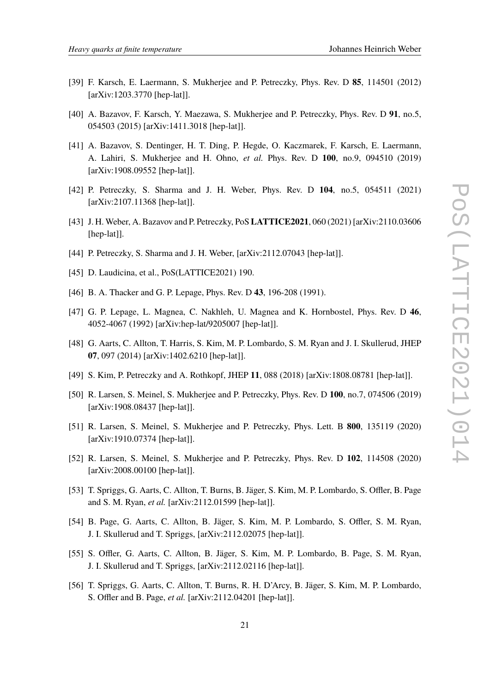- <span id="page-20-0"></span>[39] F. Karsch, E. Laermann, S. Mukherjee and P. Petreczky, Phys. Rev. D **85**, 114501 (2012) [arXiv:1203.3770 [hep-lat]].
- <span id="page-20-3"></span>[40] A. Bazavov, F. Karsch, Y. Maezawa, S. Mukherjee and P. Petreczky, Phys. Rev. D **91**, no.5, 054503 (2015) [arXiv:1411.3018 [hep-lat]].
- <span id="page-20-1"></span>[41] A. Bazavov, S. Dentinger, H. T. Ding, P. Hegde, O. Kaczmarek, F. Karsch, E. Laermann, A. Lahiri, S. Mukherjee and H. Ohno, *et al.* Phys. Rev. D **100**, no.9, 094510 (2019) [arXiv:1908.09552 [hep-lat]].
- <span id="page-20-2"></span>[42] P. Petreczky, S. Sharma and J. H. Weber, Phys. Rev. D **104**, no.5, 054511 (2021) [arXiv:2107.11368 [hep-lat]].
- <span id="page-20-4"></span>[43] J. H. Weber, A. Bazavov and P. Petreczky, PoS**LATTICE2021**, 060 (2021) [arXiv:2110.03606 [hep-lat]].
- <span id="page-20-5"></span>[44] P. Petreczky, S. Sharma and J. H. Weber, [arXiv:2112.07043 [hep-lat]].
- <span id="page-20-6"></span>[45] D. Laudicina, et al., PoS(LATTICE2021) 190.
- <span id="page-20-7"></span>[46] B. A. Thacker and G. P. Lepage, Phys. Rev. D **43**, 196-208 (1991).
- <span id="page-20-8"></span>[47] G. P. Lepage, L. Magnea, C. Nakhleh, U. Magnea and K. Hornbostel, Phys. Rev. D **46**, 4052-4067 (1992) [arXiv:hep-lat/9205007 [hep-lat]].
- <span id="page-20-9"></span>[48] G. Aarts, C. Allton, T. Harris, S. Kim, M. P. Lombardo, S. M. Ryan and J. I. Skullerud, JHEP **07**, 097 (2014) [arXiv:1402.6210 [hep-lat]].
- <span id="page-20-10"></span>[49] S. Kim, P. Petreczky and A. Rothkopf, JHEP **11**, 088 (2018) [arXiv:1808.08781 [hep-lat]].
- <span id="page-20-15"></span>[50] R. Larsen, S. Meinel, S. Mukherjee and P. Petreczky, Phys. Rev. D **100**, no.7, 074506 (2019) [arXiv:1908.08437 [hep-lat]].
- <span id="page-20-16"></span>[51] R. Larsen, S. Meinel, S. Mukherjee and P. Petreczky, Phys. Lett. B **800**, 135119 (2020) [arXiv:1910.07374 [hep-lat]].
- <span id="page-20-11"></span>[52] R. Larsen, S. Meinel, S. Mukherjee and P. Petreczky, Phys. Rev. D **102**, 114508 (2020) [arXiv:2008.00100 [hep-lat]].
- <span id="page-20-12"></span>[53] T. Spriggs, G. Aarts, C. Allton, T. Burns, B. Jäger, S. Kim, M. P. Lombardo, S. Offler, B. Page and S. M. Ryan, *et al.* [arXiv:2112.01599 [hep-lat]].
- [54] B. Page, G. Aarts, C. Allton, B. Jäger, S. Kim, M. P. Lombardo, S. Offler, S. M. Ryan, J. I. Skullerud and T. Spriggs, [arXiv:2112.02075 [hep-lat]].
- <span id="page-20-13"></span>[55] S. Offler, G. Aarts, C. Allton, B. Jäger, S. Kim, M. P. Lombardo, B. Page, S. M. Ryan, J. I. Skullerud and T. Spriggs, [arXiv:2112.02116 [hep-lat]].
- <span id="page-20-14"></span>[56] T. Spriggs, G. Aarts, C. Allton, T. Burns, R. H. D'Arcy, B. Jäger, S. Kim, M. P. Lombardo, S. Offler and B. Page, *et al.* [arXiv:2112.04201 [hep-lat]].